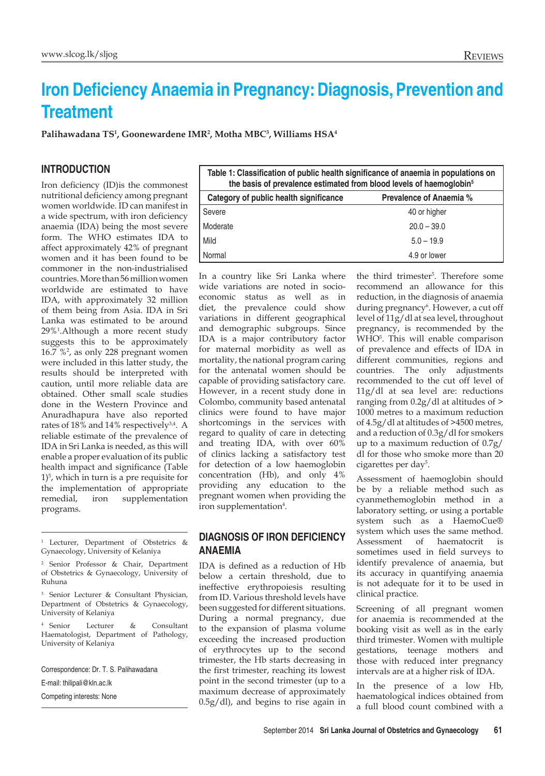# **Iron Deficiency Anaemia in Pregnancy: Diagnosis, Prevention and Treatment**

**Palihawadana TS1 , Goonewardene IMR2 , Motha MBC3 , Williams HSA4**

#### **Introduction**

Iron deficiency (ID)is the commonest nutritional deficiency among pregnant women worldwide. ID can manifest in a wide spectrum, with iron deficiency anaemia (IDA) being the most severe form. The WHO estimates IDA to affect approximately 42% of pregnant women and it has been found to be commoner in the non-industrialised countries. More than 56 million women worldwide are estimated to have IDA, with approximately 32 million of them being from Asia. IDA in Sri Lanka was estimated to be around 29%<sup>1</sup> .Although a more recent study suggests this to be approximately 16.7 %<sup>2</sup>, as only 228 pregnant women were included in this latter study, the results should be interpreted with caution, until more reliable data are obtained. Other small scale studies done in the Western Province and Anuradhapura have also reported rates of 18% and 14% respectively<sup>3,4</sup>. A reliable estimate of the prevalence of IDA in Sri Lanka is needed, as this will enable a proper evaluation of its public health impact and significance (Table 1)5 , which in turn is a pre requisite for the implementation of appropriate remedial, iron supplementation programs.

<sup>4</sup> Senior Lecturer & Consultant Haematologist, Department of Pathology, University of Kelaniya

Correspondence: Dr. T. S. Palihawadana

E-mail: thilipali@kln.ac.lk

Competing interests: None

| Table 1: Classification of public health significance of anaemia in populations on<br>the basis of prevalence estimated from blood levels of haemoglobin <sup>5</sup> |                                |
|-----------------------------------------------------------------------------------------------------------------------------------------------------------------------|--------------------------------|
| Category of public health significance                                                                                                                                | <b>Prevalence of Anaemia %</b> |
| Severe                                                                                                                                                                | 40 or higher                   |
| Moderate                                                                                                                                                              | $20.0 - 39.0$                  |
| Mild                                                                                                                                                                  | $5.0 - 19.9$                   |
| Normal                                                                                                                                                                | 4.9 or lower                   |

In a country like Sri Lanka where wide variations are noted in socioeconomic status as well as in diet, the prevalence could show variations in different geographical and demographic subgroups. Since IDA is a major contributory factor for maternal morbidity as well as mortality, the national program caring for the antenatal women should be capable of providing satisfactory care. However, in a recent study done in Colombo, community based antenatal clinics were found to have major shortcomings in the services with regard to quality of care in detecting and treating IDA, with over 60% of clinics lacking a satisfactory test for detection of a low haemoglobin concentration (Hb), and only 4% providing any education to the pregnant women when providing the iron supplementation<sup>4</sup>.

## **Diagnosis of iron deficiency anaemia**

IDA is defined as a reduction of Hb below a certain threshold, due to ineffective erythropoiesis resulting from ID. Various threshold levels have been suggested for different situations. During a normal pregnancy, due to the expansion of plasma volume exceeding the increased production of erythrocytes up to the second trimester, the Hb starts decreasing in the first trimester, reaching its lowest point in the second trimester (up to a maximum decrease of approximately 0.5g/dl), and begins to rise again in

the third trimester<sup>5</sup> . Therefore some recommend an allowance for this reduction, in the diagnosis of anaemia during pregnancy<sup>6</sup>. However, a cut off level of 11g/dl at sea level, throughout pregnancy, is recommended by the WHO<sup>5</sup>. This will enable comparison of prevalence and effects of IDA in different communities, regions and countries. The only adjustments recommended to the cut off level of 11g/dl at sea level are: reductions ranging from 0.2g/dl at altitudes of > 1000 metres to a maximum reduction of 4.5g/dl at altitudes of >4500 metres, and a reduction of 0.3g/dl for smokers up to a maximum reduction of 0.7g/ dl for those who smoke more than 20 cigarettes per day<sup>5</sup>.

Assessment of haemoglobin should be by a reliable method such as cyanmethemoglobin method in a laboratory setting, or using a portable system such as a HaemoCue® system which uses the same method. Assessment of haematocrit is sometimes used in field surveys to identify prevalence of anaemia, but its accuracy in quantifying anaemia is not adequate for it to be used in clinical practice.

Screening of all pregnant women for anaemia is recommended at the booking visit as well as in the early third trimester. Women with multiple gestations, teenage mothers and those with reduced inter pregnancy intervals are at a higher risk of IDA.

In the presence of a low Hb, haematological indices obtained from a full blood count combined with a

<sup>1</sup> Lecturer, Department of Obstetrics & Gynaecology, University of Kelaniya

<sup>2</sup> Senior Professor & Chair, Department of Obstetrics & Gynaecology, University of Ruhuna

Senior Lecturer & Consultant Physician, Department of Obstetrics & Gynaecology, University of Kelaniya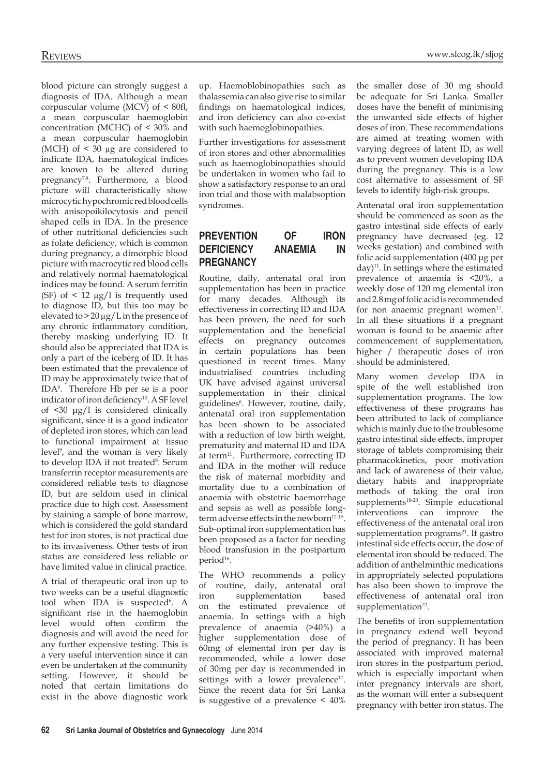Reviews www.slcog.lk/sljog

blood picture can strongly suggest a diagnosis of IDA. Although a mean corpuscular volume (MCV) of < 80fl, a mean corpuscular haemoglobin concentration (MCHC) of < 30% and a mean corpuscular haemoglobin (MCH) of  $\leq$  30 µg are considered to indicate IDA, haematological indices are known to be altered during pregnancy<sup>7,8</sup>. Furthermore, a blood picture will characteristically show microcytic hypochromic red blood cells with anisopoikilocytosis and pencil shaped cells in IDA. In the presence of other nutritional deficiencies such as folate deficiency, which is common during pregnancy, a dimorphic blood picture with macrocytic red blood cells and relatively normal haematological indices may be found. A serum ferritin (SF) of  $\leq$  12  $\mu$ g/l is frequently used to diagnose ID, but this too may be elevated to  $> 20 \mu g/L$  in the presence of any chronic inflammatory condition, thereby masking underlying ID. It should also be appreciated that IDA is only a part of the iceberg of ID. It has been estimated that the prevalence of ID may be approximately twice that of IDA<sup>9</sup> . Therefore Hb per se is a poor indicator of iron deficiency<sup>10</sup>. A SF level of <30 μg/l is considered clinically significant, since it is a good indicator of depleted iron stores, which can lead to functional impairment at tissue level<sup>9</sup>, and the woman is very likely to develop IDA if not treated<sup>8</sup>. Serum transferrin receptor measurements are considered reliable tests to diagnose ID, but are seldom used in clinical practice due to high cost. Assessment by staining a sample of bone marrow, which is considered the gold standard test for iron stores, is not practical due to its invasiveness. Other tests of iron status are considered less reliable or have limited value in clinical practice.

A trial of therapeutic oral iron up to two weeks can be a useful diagnostic tool when IDA is suspected<sup>6</sup>. A significant rise in the haemoglobin level would often confirm the diagnosis and will avoid the need for any further expensive testing. This is a very useful intervention since it can even be undertaken at the community setting. However, it should be noted that certain limitations do exist in the above diagnostic work

up. Haemoblobinopathies such as thalassemia can also give rise to similar findings on haematological indices, and iron deficiency can also co-exist with such haemoglobinopathies.

Further investigations for assessment of iron stores and other abnormalities such as haemoglobinopathies should be undertaken in women who fail to show a satisfactory response to an oral iron trial and those with malabsoption syndromes.

# **Prevention of iron deficiency anaemia in pregnancy**

Routine, daily, antenatal oral iron supplementation has been in practice for many decades. Although its effectiveness in correcting ID and IDA has been proven, the need for such supplementation and the beneficial effects on pregnancy outcomes in certain populations has been questioned in recent times. Many industrialised countries including UK have advised against universal supplementation in their clinical guidelines<sup>6</sup>. However, routine, daily, antenatal oral iron supplementation has been shown to be associated with a reduction of low birth weight, prematurity and maternal ID and IDA at term<sup>11</sup>. Furthermore, correcting ID and IDA in the mother will reduce the risk of maternal morbidity and mortality due to a combination of anaemia with obstetric haemorrhage and sepsis as well as possible longterm adverse effects in the newborn<sup>12-15</sup>. Sub-optimal iron supplementation has been proposed as a factor for needing blood transfusion in the postpartum period<sup>16</sup>.

The WHO recommends a policy of routine, daily, antenatal oral iron supplementation based on the estimated prevalence of anaemia. In settings with a high prevalence of anaemia (>40%) a higher supplementation dose of 60mg of elemental iron per day is recommended, while a lower dose of 30mg per day is recommended in settings with a lower prevalence<sup>11</sup>. Since the recent data for Sri Lanka is suggestive of a prevalence < 40%

the smaller dose of 30 mg should be adequate for Sri Lanka. Smaller doses have the benefit of minimising the unwanted side effects of higher doses of iron. These recommendations are aimed at treating women with varying degrees of latent ID, as well as to prevent women developing IDA during the pregnancy. This is a low cost alternative to assessment of SF levels to identify high-risk groups.

Antenatal oral iron supplementation should be commenced as soon as the gastro intestinal side effects of early pregnancy have decreased (eg. 12 weeks gestation) and combined with folic acid supplementation (400 μg per day)<sup>11</sup>. In settings where the estimated prevalence of anaemia is <20%, a weekly dose of 120 mg elemental iron and 2.8 mg of folic acid is recommended for non anaemic pregnant women $17$ . In all these situations if a pregnant woman is found to be anaemic after commencement of supplementation, higher / therapeutic doses of iron should be administered.

Many women develop IDA in spite of the well established iron supplementation programs. The low effectiveness of these programs has been attributed to lack of compliance which is mainly due to the troublesome gastro intestinal side effects, improper storage of tablets compromising their pharmacokinetics, poor motivation and lack of awareness of their value, dietary habits and inappropriate methods of taking the oral iron supplements<sup>18-20</sup>. Simple educational interventions can improve the effectiveness of the antenatal oral iron supplementation programs<sup>21</sup>. If gastro intestinal side effects occur, the dose of elemental iron should be reduced. The addition of anthelminthic medications in appropriately selected populations has also been shown to improve the effectiveness of antenatal oral iron supplementation<sup>22</sup>.

The benefits of iron supplementation in pregnancy extend well beyond the period of pregnancy. It has been associated with improved maternal iron stores in the postpartum period, which is especially important when inter pregnancy intervals are short, as the woman will enter a subsequent pregnancy with better iron status. The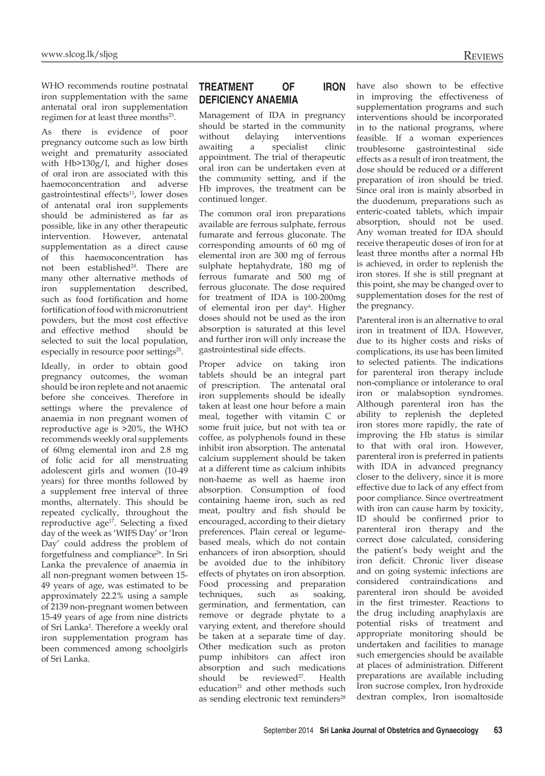WHO recommends routine postnatal iron supplementation with the same antenatal oral iron supplementation regimen for at least three months<sup>23</sup>.

As there is evidence of poor pregnancy outcome such as low birth weight and prematurity associated with Hb>130g/l, and higher doses of oral iron are associated with this haemoconcentration and adverse gastrointestinal effects<sup>11</sup>, lower doses of antenatal oral iron supplements should be administered as far as possible, like in any other therapeutic intervention. However, antenatal supplementation as a direct cause of this haemoconcentration has not been established<sup>24</sup>. There are many other alternative methods of iron supplementation described, such as food fortification and home fortification of food with micronutrient powders, but the most cost effective and effective method should be selected to suit the local population, especially in resource poor settings<sup>25</sup>.

Ideally, in order to obtain good pregnancy outcomes, the woman should be iron replete and not anaemic before she conceives. Therefore in settings where the prevalence of anaemia in non pregnant women of reproductive age is >20%, the WHO recommends weekly oral supplements of 60mg elemental iron and 2.8 mg of folic acid for all menstruating adolescent girls and women (10-49 years) for three months followed by a supplement free interval of three months, alternately. This should be repeated cyclically, throughout the reproductive age<sup>17</sup>. Selecting a fixed day of the week as 'WIFS Day' or 'Iron Day' could address the problem of forgetfulness and compliance<sup>26</sup>. In Sri Lanka the prevalence of anaemia in all non-pregnant women between 15- 49 years of age, was estimated to be approximately 22.2% using a sample of 2139 non-pregnant women between 15-49 years of age from nine districts of Sri Lanka<sup>2</sup>. Therefore a weekly oral iron supplementation program has been commenced among schoolgirls of Sri Lanka.

# **Treatment of iron deficiency anaemia**

Management of IDA in pregnancy should be started in the community without delaying interventions awaiting a specialist clinic appointment. The trial of therapeutic oral iron can be undertaken even at the community setting, and if the Hb improves, the treatment can be continued longer.

The common oral iron preparations available are ferrous sulphate, ferrous fumarate and ferrous gluconate. The corresponding amounts of 60 mg of elemental iron are 300 mg of ferrous sulphate heptahydrate, 180 mg of ferrous fumarate and 500 mg of ferrous gluconate. The dose required for treatment of IDA is 100-200mg of elemental iron per day<sup>6</sup>. Higher doses should not be used as the iron absorption is saturated at this level and further iron will only increase the gastrointestinal side effects.

Proper advice on taking iron tablets should be an integral part of prescription. The antenatal oral iron supplements should be ideally taken at least one hour before a main meal, together with vitamin C or some fruit juice, but not with tea or coffee, as polyphenols found in these inhibit iron absorption. The antenatal calcium supplement should be taken at a different time as calcium inhibits non-haeme as well as haeme iron absorption. Consumption of food containing haeme iron, such as red meat, poultry and fish should be encouraged, according to their dietary preferences. Plain cereal or legumebased meals, which do not contain enhancers of iron absorption, should be avoided due to the inhibitory effects of phytates on iron absorption. Food processing and preparation techniques, such as soaking, germination, and fermentation, can remove or degrade phytate to a varying extent, and therefore should be taken at a separate time of day. Other medication such as proton pump inhibitors can affect iron absorption and such medications should be reviewed<sup>27</sup>. Health education<sup>21</sup> and other methods such as sending electronic text reminders<sup>28</sup>

have also shown to be effective in improving the effectiveness of supplementation programs and such interventions should be incorporated in to the national programs, where feasible. If a woman experiences troublesome gastrointestinal side effects as a result of iron treatment, the dose should be reduced or a different preparation of iron should be tried. Since oral iron is mainly absorbed in the duodenum, preparations such as enteric-coated tablets, which impair absorption, should not be used. Any woman treated for IDA should receive therapeutic doses of iron for at least three months after a normal Hb is achieved, in order to replenish the iron stores. If she is still pregnant at this point, she may be changed over to supplementation doses for the rest of the pregnancy.

Parenteral iron is an alternative to oral iron in treatment of IDA. However, due to its higher costs and risks of complications, its use has been limited to selected patients. The indications for parenteral iron therapy include non-compliance or intolerance to oral iron or malabsoption syndromes. Although parenteral iron has the ability to replenish the depleted iron stores more rapidly, the rate of improving the Hb status is similar to that with oral iron. However, parenteral iron is preferred in patients with IDA in advanced pregnancy closer to the delivery, since it is more effective due to lack of any effect from poor compliance. Since overtreatment with iron can cause harm by toxicity, ID should be confirmed prior to parenteral iron therapy and the correct dose calculated, considering the patient's body weight and the iron deficit. Chronic liver disease and on going systemic infections are considered contraindications and parenteral iron should be avoided in the first trimester. Reactions to the drug including anaphylaxis are potential risks of treatment and appropriate monitoring should be undertaken and facilities to manage such emergencies should be available at places of administration. Different preparations are available including Iron sucrose complex, Iron hydroxide dextran complex, Iron isomaltoside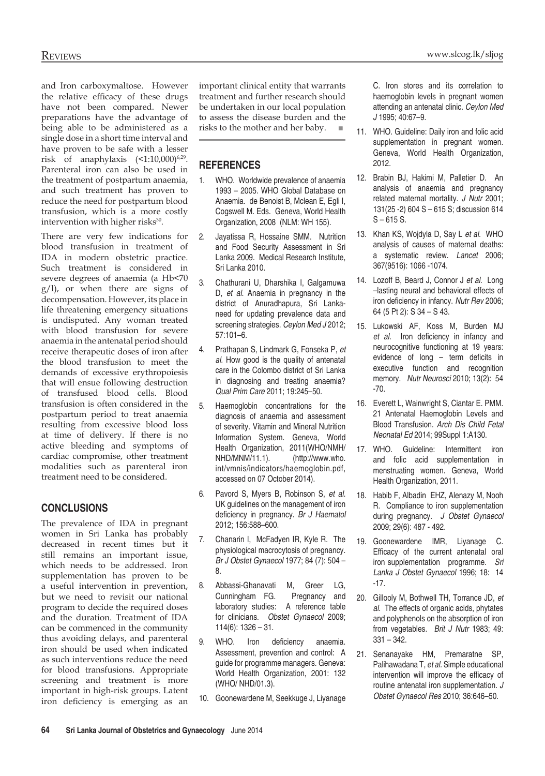and Iron carboxymaltose. However the relative efficacy of these drugs have not been compared. Newer preparations have the advantage of being able to be administered as a single dose in a short time interval and have proven to be safe with a lesser risk of anaphylaxis  $(1:10,000)^{6,29}$ . Parenteral iron can also be used in the treatment of postpartum anaemia, and such treatment has proven to reduce the need for postpartum blood transfusion, which is a more costly intervention with higher risks<sup>30</sup>.

There are very few indications for blood transfusion in treatment of IDA in modern obstetric practice. Such treatment is considered in severe degrees of anaemia (a Hb<70 g/l), or when there are signs of decompensation. However, its place in life threatening emergency situations is undisputed. Any woman treated with blood transfusion for severe anaemia in the antenatal period should receive therapeutic doses of iron after the blood transfusion to meet the demands of excessive erythropoiesis that will ensue following destruction of transfused blood cells. Blood transfusion is often considered in the postpartum period to treat anaemia resulting from excessive blood loss at time of delivery. If there is no active bleeding and symptoms of cardiac compromise, other treatment modalities such as parenteral iron treatment need to be considered.

#### **Conclusions**

The prevalence of IDA in pregnant women in Sri Lanka has probably decreased in recent times but it still remains an important issue, which needs to be addressed. Iron supplementation has proven to be a useful intervention in prevention, but we need to revisit our national program to decide the required doses and the duration. Treatment of IDA can be commenced in the community thus avoiding delays, and parenteral iron should be used when indicated as such interventions reduce the need for blood transfusions. Appropriate screening and treatment is more important in high-risk groups. Latent iron deficiency is emerging as an important clinical entity that warrants treatment and further research should be undertaken in our local population to assess the disease burden and the risks to the mother and her baby.

## **REFERENCES**

- 1. WHO. Worldwide prevalence of anaemia 1993 – 2005. WHO Global Database on Anaemia. de Benoist B, Mclean E, Egli I, Cogswell M. Eds. Geneva, World Health Organization, 2008 (NLM: WH 155).
- 2. Jayatissa R, Hossaine SMM. Nutrition and Food Security Assessment in Sri Lanka 2009. Medical Research Institute, Sri Lanka 2010.
- 3. Chathurani U, Dharshika I, Galgamuwa D, *et al.* Anaemia in pregnancy in the district of Anuradhapura, Sri Lankaneed for updating prevalence data and screening strategies. *Ceylon Med J* 2012; 57:101–6.
- 4. Prathapan S, Lindmark G, Fonseka P, *et al.* How good is the quality of antenatal care in the Colombo district of Sri Lanka in diagnosing and treating anaemia? *Qual Prim Care* 2011; 19:245–50.
- 5. Haemoglobin concentrations for the diagnosis of anaemia and assessment of severity. Vitamin and Mineral Nutrition Information System. Geneva, World Health Organization, 2011(WHO/NMH/ NHD/MNM/11.1). (http://www.who. int/vmnis/indicators/haemoglobin.pdf, accessed on 07 October 2014).
- 6. Pavord S, Myers B, Robinson S, *et al.* UK guidelines on the management of iron deficiency in pregnancy. *Br J Haematol*  2012; 156:588–600.
- 7. Chanarin I, McFadyen IR, Kyle R. The physiological macrocytosis of pregnancy. *Br J Obstet Gynaecol* 1977; 84 (7): 504 – 8.
- 8. Abbassi-Ghanavati M, Greer LG, Cunningham FG. Pregnancy and laboratory studies: A reference table for clinicians. *Obstet Gynaecol* 2009; 114(6): 1326 – 31.
- 9. WHO. Iron deficiency anaemia. Assessment, prevention and control: A guide for programme managers. Geneva: World Health Organization, 2001: 132 (WHO/ NHD/01.3).
- 10. Goonewardene M, Seekkuge J, Liyanage

C. Iron stores and its correlation to haemoglobin levels in pregnant women attending an antenatal clinic. *Ceylon Med J* 1995; 40:67–9.

- 11. WHO. Guideline: Daily iron and folic acid supplementation in pregnant women. Geneva, World Health Organization, 2012.
- 12. Brabin BJ, Hakimi M, Palletier D. An analysis of anaemia and pregnancy related maternal mortality. *J Nutr* 2001; 131(25 -2) 604 S – 615 S; discussion 614  $S - 615 S$ .
- 13. Khan KS, Wojdyla D, Say L *et al.* WHO analysis of causes of maternal deaths: a systematic review. *Lancet* 2006; 367(9516): 1066 -1074.
- 14. Lozoff B, Beard J, Connor J *et al.* Long –lasting neural and behavioral effects of iron deficiency in infancy. *Nutr Rev* 2006; 64 (5 Pt 2): S 34 – S 43.
- 15. Lukowski AF, Koss M, Burden MJ *et al.* Iron deficiency in infancy and neurocognitive functioning at 19 years: evidence of long – term deficits in executive function and recognition memory. *Nutr Neurosci* 2010; 13(2): 54 -70.
- 16. Everett L, Wainwright S, Ciantar E. PMM. 21 Antenatal Haemoglobin Levels and Blood Transfusion. *Arch Dis Child Fetal Neonatal Ed* 2014; 99Suppl 1:A130.
- 17. WHO. Guideline: Intermittent iron and folic acid supplementation in menstruating women. Geneva, World Health Organization, 2011.
- 18. Habib F, Albadin EHZ, Alenazy M, Nooh R. Compliance to iron supplementation during pregnancy. *J Obstet Gynaecol*  2009; 29(6): 487 - 492.
- 19. Goonewardene IMR, Liyanage C. Efficacy of the current antenatal oral iron supplementation programme. *Sri Lanka J Obstet Gynaecol* 1996; 18: 14 -17.
- 20. Gillooly M, Bothwell TH, Torrance JD, *et al.* The effects of organic acids, phytates and polyphenols on the absorption of iron from vegetables. *Brit J Nutr* 1983; 49: 331 – 342.
- 21. Senanayake HM, Premaratne SP, Palihawadana T, *et al.* Simple educational intervention will improve the efficacy of routine antenatal iron supplementation. *J Obstet Gynaecol Res* 2010; 36:646–50.